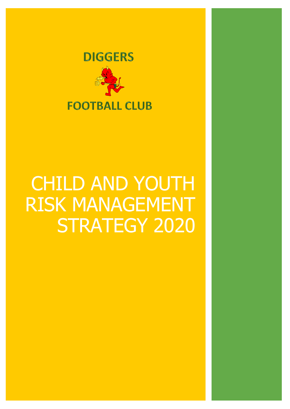

# CHILD AND YOUTH RISK MANAGEMENT STRATEGY 2020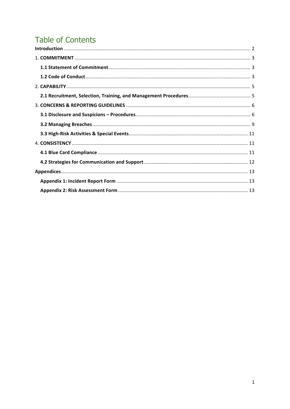# **Table of Contents**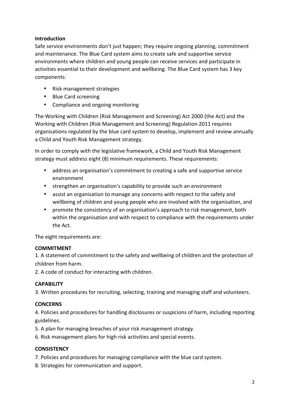#### **Introduction**

Safe service environments don't just happen; they require ongoing planning, commitment and maintenance. The Blue Card system aims to create safe and supportive service environments where children and young people can receive services and participate in activities essential to their development and wellbeing. The Blue Card system has 3 key components: 

- Risk management strategies
- Blue Card screening
- Compliance and ongoing monitoring

The Working with Children (Risk Management and Screening) Act 2000 (the Act) and the Working with Children (Risk Management and Screening) Regulation 2011 requires organisations regulated by the blue card system to develop, implement and review annually a Child and Youth Risk Management strategy.

In order to comply with the legislative framework, a Child and Youth Risk Management strategy must address eight (8) minimum requirements. These requirements:

- address an organisation's commitment to creating a safe and supportive service environment
- strengthen an organisation's capability to provide such an environment
- assist an organisation to manage any concerns with respect to the safety and wellbeing of children and young people who are involved with the organisation, and
- promote the consistency of an organisation's approach to risk management, both within the organisation and with respect to compliance with the requirements under the Act.

The eight requirements are:

#### **COMMITMENT**

1. A statement of commitment to the safety and wellbeing of children and the protection of children from harm.

2. A code of conduct for interacting with children.

#### **CAPABILITY**

3. Written procedures for recruiting, selecting, training and managing staff and volunteers.

#### **CONCERNS**

4. Policies and procedures for handling disclosures or suspicions of harm, including reporting guidelines. 

- 5. A plan for managing breaches of your risk management strategy.
- 6. Risk management plans for high risk activities and special events.

#### **CONSISTENCY**

- 7. Policies and procedures for managing compliance with the blue card system.
- 8. Strategies for communication and support.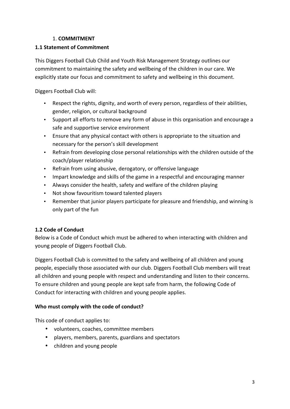#### 1. **COMMITMENT**

#### **1.1 Statement of Commitment**

This Diggers Football Club Child and Youth Risk Management Strategy outlines our commitment to maintaining the safety and wellbeing of the children in our care. We explicitly state our focus and commitment to safety and wellbeing in this document.

Diggers Football Club will:

- Respect the rights, dignity, and worth of every person, regardless of their abilities, gender, religion, or cultural background
- Support all efforts to remove any form of abuse in this organisation and encourage a safe and supportive service environment
- Ensure that any physical contact with others is appropriate to the situation and necessary for the person's skill development
- Refrain from developing close personal relationships with the children outside of the coach/player relationship
- Refrain from using abusive, derogatory, or offensive language
- Impart knowledge and skills of the game in a respectful and encouraging manner
- Always consider the health, safety and welfare of the children playing
- Not show favouritism toward talented players
- Remember that junior players participate for pleasure and friendship, and winning is only part of the fun

#### **1.2 Code of Conduct**

Below is a Code of Conduct which must be adhered to when interacting with children and young people of Diggers Football Club.

Diggers Football Club is committed to the safety and wellbeing of all children and young people, especially those associated with our club. Diggers Football Club members will treat all children and young people with respect and understanding and listen to their concerns. To ensure children and young people are kept safe from harm, the following Code of Conduct for interacting with children and young people applies.

#### Who must comply with the code of conduct?

This code of conduct applies to:

- volunteers, coaches, committee members
- players, members, parents, guardians and spectators
- children and young people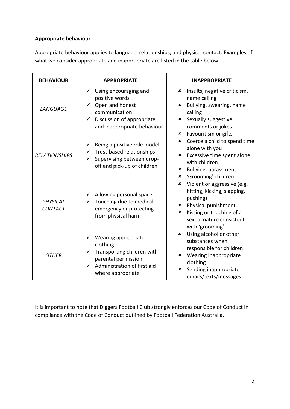#### **Appropriate behaviour**

Appropriate behaviour applies to language, relationships, and physical contact. Examples of what we consider appropriate and inappropriate are listed in the table below.

| <b>BEHAVIOUR</b>           | <b>APPROPRIATE</b>                                                                                                                                                           | <b>INAPPROPRIATE</b>                                                                                                                                                                          |
|----------------------------|------------------------------------------------------------------------------------------------------------------------------------------------------------------------------|-----------------------------------------------------------------------------------------------------------------------------------------------------------------------------------------------|
| <b>LANGUAGE</b>            | Using encouraging and<br>✓<br>positive words<br>Open and honest<br>$\checkmark$<br>communication<br>Discussion of appropriate<br>$\checkmark$<br>and inappropriate behaviour | Insults, negative criticism,<br>×<br>name calling<br>Bullying, swearing, name<br>×<br>calling<br>Sexually suggestive<br>×<br>comments or jokes                                                |
| <b>RELATIONSHIPS</b>       | Being a positive role model<br>$\checkmark$ Trust-based relationships<br>Supervising between drop-<br>off and pick-up of children                                            | Favouritism or gifts<br>×<br>Coerce a child to spend time<br>×<br>alone with you<br>Excessive time spent alone<br>×<br>with children<br>Bullying, harassment<br>×<br>'Grooming' children<br>× |
| PHYSICAL<br><b>CONTACT</b> | Allowing personal space<br>Touching due to medical<br>emergency or protecting<br>from physical harm                                                                          | Violent or aggressive (e.g.<br>×<br>hitting, kicking, slapping,<br>pushing)<br>* Physical punishment<br>Kissing or touching of a<br>×<br>sexual nature consistent<br>with 'grooming'          |
| <b>OTHER</b>               | $\checkmark$ Wearing appropriate<br>clothing<br>Transporting children with<br>parental permission<br>$\checkmark$<br>Administration of first aid<br>where appropriate        | Using alcohol or other<br>×<br>substances when<br>responsible for children<br>Wearing inappropriate<br>×<br>clothing<br>Sending inappropriate<br>×<br>emails/texts/messages                   |

It is important to note that Diggers Football Club strongly enforces our Code of Conduct in compliance with the Code of Conduct outlined by Football Federation Australia.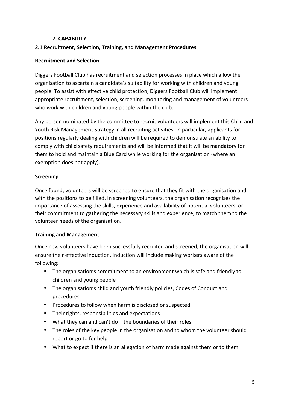#### 2. **CAPABILITY**

#### **2.1 Recruitment, Selection, Training, and Management Procedures**

#### **Recruitment and Selection**

Diggers Football Club has recruitment and selection processes in place which allow the organisation to ascertain a candidate's suitability for working with children and young people. To assist with effective child protection, Diggers Football Club will implement appropriate recruitment, selection, screening, monitoring and management of volunteers who work with children and young people within the club.

Any person nominated by the committee to recruit volunteers will implement this Child and Youth Risk Management Strategy in all recruiting activities. In particular, applicants for positions regularly dealing with children will be required to demonstrate an ability to comply with child safety requirements and will be informed that it will be mandatory for them to hold and maintain a Blue Card while working for the organisation (where an exemption does not apply).

#### **Screening**

Once found, volunteers will be screened to ensure that they fit with the organisation and with the positions to be filled. In screening volunteers, the organisation recognises the importance of assessing the skills, experience and availability of potential volunteers, or their commitment to gathering the necessary skills and experience, to match them to the volunteer needs of the organisation.

#### **Training and Management**

Once new volunteers have been successfully recruited and screened, the organisation will ensure their effective induction. Induction will include making workers aware of the following:

- The organisation's commitment to an environment which is safe and friendly to children and young people
- The organisation's child and youth friendly policies, Codes of Conduct and procedures
- Procedures to follow when harm is disclosed or suspected
- Their rights, responsibilities and expectations
- What they can and can't do  $-$  the boundaries of their roles
- The roles of the key people in the organisation and to whom the volunteer should report or go to for help
- What to expect if there is an allegation of harm made against them or to them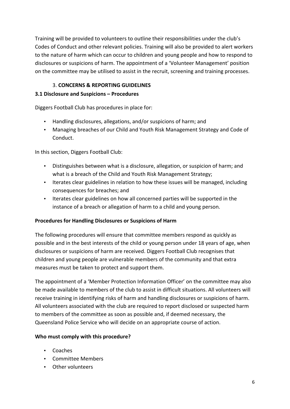Training will be provided to volunteers to outline their responsibilities under the club's Codes of Conduct and other relevant policies. Training will also be provided to alert workers to the nature of harm which can occur to children and young people and how to respond to disclosures or suspicions of harm. The appointment of a 'Volunteer Management' position on the committee may be utilised to assist in the recruit, screening and training processes.

#### 3. **CONCERNS & REPORTING GUIDELINES**

#### **3.1 Disclosure and Suspicions – Procedures**

Diggers Football Club has procedures in place for:

- Handling disclosures, allegations, and/or suspicions of harm; and
- Managing breaches of our Child and Youth Risk Management Strategy and Code of Conduct.

In this section, Diggers Football Club:

- Distinguishes between what is a disclosure, allegation, or suspicion of harm; and what is a breach of the Child and Youth Risk Management Strategy;
- Iterates clear guidelines in relation to how these issues will be managed, including consequences for breaches; and
- Iterates clear guidelines on how all concerned parties will be supported in the instance of a breach or allegation of harm to a child and young person.

#### **Procedures for Handling Disclosures or Suspicions of Harm**

The following procedures will ensure that committee members respond as quickly as possible and in the best interests of the child or young person under 18 years of age, when disclosures or suspicions of harm are received. Diggers Football Club recognises that children and young people are vulnerable members of the community and that extra measures must be taken to protect and support them.

The appointment of a 'Member Protection Information Officer' on the committee may also be made available to members of the club to assist in difficult situations. All volunteers will receive training in identifying risks of harm and handling disclosures or suspicions of harm. All volunteers associated with the club are required to report disclosed or suspected harm to members of the committee as soon as possible and, if deemed necessary, the Queensland Police Service who will decide on an appropriate course of action.

#### Who must comply with this procedure?

- Coaches
- Committee Members
- Other volunteers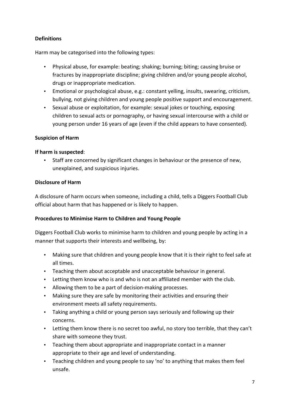#### **Definitions**

Harm may be categorised into the following types:

- Physical abuse, for example: beating; shaking; burning; biting; causing bruise or fractures by inappropriate discipline; giving children and/or young people alcohol, drugs or inappropriate medication.
- Emotional or psychological abuse, e.g.: constant yelling, insults, swearing, criticism, bullying, not giving children and young people positive support and encouragement.
- Sexual abuse or exploitation, for example: sexual jokes or touching, exposing children to sexual acts or pornography, or having sexual intercourse with a child or young person under 16 years of age (even if the child appears to have consented).

#### **Suspicion of Harm**

#### **If harm is suspected:**

Staff are concerned by significant changes in behaviour or the presence of new, unexplained, and suspicious injuries.

#### **Disclosure of Harm**

A disclosure of harm occurs when someone, including a child, tells a Diggers Football Club official about harm that has happened or is likely to happen.

#### **Procedures to Minimise Harm to Children and Young People**

Diggers Football Club works to minimise harm to children and young people by acting in a manner that supports their interests and wellbeing, by:

- Making sure that children and young people know that it is their right to feel safe at all times.
- Teaching them about acceptable and unacceptable behaviour in general.
- Letting them know who is and who is not an affiliated member with the club.
- Allowing them to be a part of decision-making processes.
- Making sure they are safe by monitoring their activities and ensuring their environment meets all safety requirements.
- Taking anything a child or young person says seriously and following up their concerns.
- Letting them know there is no secret too awful, no story too terrible, that they can't share with someone they trust.
- Teaching them about appropriate and inappropriate contact in a manner appropriate to their age and level of understanding.
- Teaching children and young people to say 'no' to anything that makes them feel unsafe.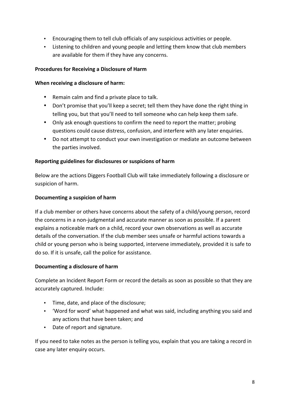- Encouraging them to tell club officials of any suspicious activities or people.
- Listening to children and young people and letting them know that club members are available for them if they have any concerns.

#### **Procedures for Receiving a Disclosure of Harm**

#### **When receiving a disclosure of harm:**

- Remain calm and find a private place to talk.
- Don't promise that you'll keep a secret; tell them they have done the right thing in telling you, but that you'll need to tell someone who can help keep them safe.
- Only ask enough questions to confirm the need to report the matter; probing questions could cause distress, confusion, and interfere with any later enquiries.
- Do not attempt to conduct your own investigation or mediate an outcome between the parties involved.

#### **Reporting guidelines for disclosures or suspicions of harm**

Below are the actions Diggers Football Club will take immediately following a disclosure or suspicion of harm.

#### **Documenting a suspicion of harm**

If a club member or others have concerns about the safety of a child/young person, record the concerns in a non-judgmental and accurate manner as soon as possible. If a parent explains a noticeable mark on a child, record your own observations as well as accurate details of the conversation. If the club member sees unsafe or harmful actions towards a child or young person who is being supported, intervene immediately, provided it is safe to do so. If it is unsafe, call the police for assistance.

#### **Documenting a disclosure of harm**

Complete an Incident Report Form or record the details as soon as possible so that they are accurately captured. Include:

- Time, date, and place of the disclosure;
- 'Word for word' what happened and what was said, including anything you said and any actions that have been taken; and
- Date of report and signature.

If you need to take notes as the person is telling you, explain that you are taking a record in case any later enquiry occurs.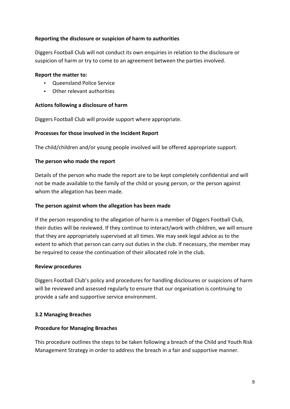#### **Reporting the disclosure or suspicion of harm to authorities**

Diggers Football Club will not conduct its own enquiries in relation to the disclosure or suspicion of harm or try to come to an agreement between the parties involved.

#### **Report the matter to:**

- Oueensland Police Service
- Other relevant authorities

#### Actions following a disclosure of harm

Diggers Football Club will provide support where appropriate.

#### **Processes for those involved in the Incident Report**

The child/children and/or young people involved will be offered appropriate support.

#### The person who made the report

Details of the person who made the report are to be kept completely confidential and will not be made available to the family of the child or young person, or the person against whom the allegation has been made.

#### The person against whom the allegation has been made

If the person responding to the allegation of harm is a member of Diggers Football Club, their duties will be reviewed. If they continue to interact/work with children, we will ensure that they are appropriately supervised at all times. We may seek legal advice as to the extent to which that person can carry out duties in the club. If necessary, the member may be required to cease the continuation of their allocated role in the club.

#### **Review procedures**

Diggers Football Club's policy and procedures for handling disclosures or suspicions of harm will be reviewed and assessed regularly to ensure that our organisation is continuing to provide a safe and supportive service environment.

#### **3.2 Managing Breaches**

#### **Procedure for Managing Breaches**

This procedure outlines the steps to be taken following a breach of the Child and Youth Risk Management Strategy in order to address the breach in a fair and supportive manner.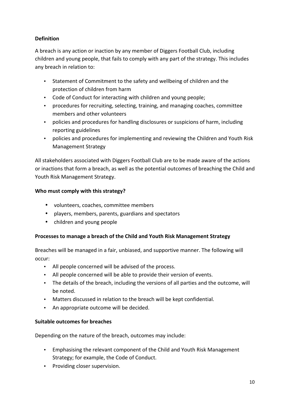#### **Definition**

A breach is any action or inaction by any member of Diggers Football Club, including children and young people, that fails to comply with any part of the strategy. This includes any breach in relation to:

- Statement of Commitment to the safety and wellbeing of children and the protection of children from harm
- Code of Conduct for interacting with children and young people;
- procedures for recruiting, selecting, training, and managing coaches, committee members and other volunteers
- policies and procedures for handling disclosures or suspicions of harm, including reporting guidelines
- policies and procedures for implementing and reviewing the Children and Youth Risk Management Strategy

All stakeholders associated with Diggers Football Club are to be made aware of the actions or inactions that form a breach, as well as the potential outcomes of breaching the Child and Youth Risk Management Strategy.

#### Who must comply with this strategy?

- volunteers, coaches, committee members
- players, members, parents, guardians and spectators
- children and young people

#### **Processes to manage a breach of the Child and Youth Risk Management Strategy**

Breaches will be managed in a fair, unbiased, and supportive manner. The following will occur:

- All people concerned will be advised of the process.
- All people concerned will be able to provide their version of events.
- The details of the breach, including the versions of all parties and the outcome, will be noted.
- Matters discussed in relation to the breach will be kept confidential.
- An appropriate outcome will be decided.

#### **Suitable outcomes for breaches**

Depending on the nature of the breach, outcomes may include:

- Emphasising the relevant component of the Child and Youth Risk Management Strategy; for example, the Code of Conduct.
- Providing closer supervision.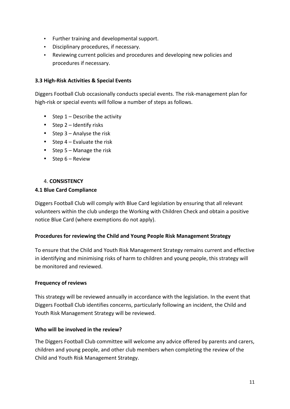- Further training and developmental support.
- Disciplinary procedures, if necessary.
- Reviewing current policies and procedures and developing new policies and procedures if necessary.

#### **3.3 High-Risk Activities & Special Events**

Diggers Football Club occasionally conducts special events. The risk-management plan for high-risk or special events will follow a number of steps as follows.

- Step  $1$  Describe the activity
- Step  $2$  Identify risks
- Step  $3 -$  Analyse the risk
- Step  $4$  Evaluate the risk
- Step  $5 -$  Manage the risk
- Step  $6 -$  Review

#### 4. **CONSISTENCY**

#### **4.1 Blue Card Compliance**

Diggers Football Club will comply with Blue Card legislation by ensuring that all relevant volunteers within the club undergo the Working with Children Check and obtain a positive notice Blue Card (where exemptions do not apply).

#### **Procedures for reviewing the Child and Young People Risk Management Strategy**

To ensure that the Child and Youth Risk Management Strategy remains current and effective in identifying and minimising risks of harm to children and young people, this strategy will be monitored and reviewed.

#### **Frequency of reviews**

This strategy will be reviewed annually in accordance with the legislation. In the event that Diggers Football Club identifies concerns, particularly following an incident, the Child and Youth Risk Management Strategy will be reviewed.

#### **Who will be involved in the review?**

The Diggers Football Club committee will welcome any advice offered by parents and carers, children and young people, and other club members when completing the review of the Child and Youth Risk Management Strategy.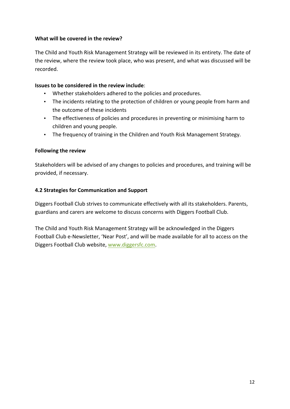#### **What will be covered in the review?**

The Child and Youth Risk Management Strategy will be reviewed in its entirety. The date of the review, where the review took place, who was present, and what was discussed will be recorded.

#### **Issues to be considered in the review include:**

- Whether stakeholders adhered to the policies and procedures.
- The incidents relating to the protection of children or young people from harm and the outcome of these incidents
- The effectiveness of policies and procedures in preventing or minimising harm to children and young people.
- The frequency of training in the Children and Youth Risk Management Strategy.

#### **Following the review**

Stakeholders will be advised of any changes to policies and procedures, and training will be provided, if necessary.

#### **4.2 Strategies for Communication and Support**

Diggers Football Club strives to communicate effectively with all its stakeholders. Parents, guardians and carers are welcome to discuss concerns with Diggers Football Club.

The Child and Youth Risk Management Strategy will be acknowledged in the Diggers Football Club e-Newsletter, 'Near Post', and will be made available for all to access on the Diggers Football Club website, www.diggersfc.com.